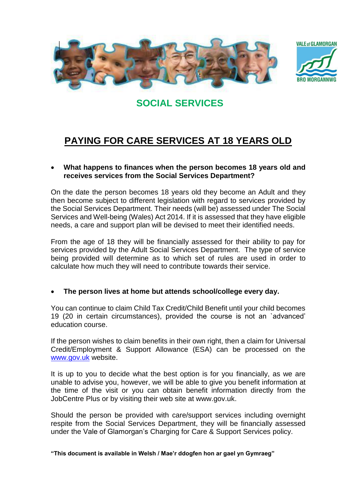



# **SOCIAL SERVICES**

# **PAYING FOR CARE SERVICES AT 18 YEARS OLD**

### **What happens to finances when the person becomes 18 years old and receives services from the Social Services Department?**

On the date the person becomes 18 years old they become an Adult and they then become subject to different legislation with regard to services provided by the Social Services Department. Their needs (will be) assessed under The Social Services and Well-being (Wales) Act 2014. If it is assessed that they have eligible needs, a care and support plan will be devised to meet their identified needs.

From the age of 18 they will be financially assessed for their ability to pay for services provided by the Adult Social Services Department. The type of service being provided will determine as to which set of rules are used in order to calculate how much they will need to contribute towards their service.

#### **The person lives at home but attends school/college every day.**

You can continue to claim Child Tax Credit/Child Benefit until your child becomes 19 (20 in certain circumstances), provided the course is not an `advanced' education course.

If the person wishes to claim benefits in their own right, then a claim for Universal Credit/Employment & Support Allowance (ESA) can be processed on the [www.gov.uk](http://www.gov.uk/) website.

It is up to you to decide what the best option is for you financially, as we are unable to advise you, however, we will be able to give you benefit information at the time of the visit or you can obtain benefit information directly from the JobCentre Plus or by visiting their web site at www.gov.uk.

Should the person be provided with care/support services including overnight respite from the Social Services Department, they will be financially assessed under the Vale of Glamorgan's Charging for Care & Support Services policy.

**"This document is available in Welsh / Mae'r ddogfen hon ar gael yn Gymraeg"**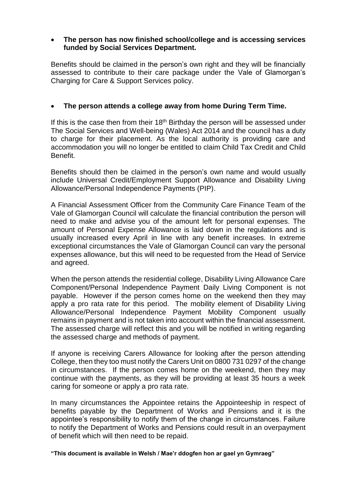#### **The person has now finished school/college and is accessing services funded by Social Services Department.**

Benefits should be claimed in the person's own right and they will be financially assessed to contribute to their care package under the Vale of Glamorgan's Charging for Care & Support Services policy.

# **The person attends a college away from home During Term Time.**

If this is the case then from their  $18<sup>th</sup>$  Birthday the person will be assessed under The Social Services and Well-being (Wales) Act 2014 and the council has a duty to charge for their placement. As the local authority is providing care and accommodation you will no longer be entitled to claim Child Tax Credit and Child Benefit.

Benefits should then be claimed in the person's own name and would usually include Universal Credit/Employment Support Allowance and Disability Living Allowance/Personal Independence Payments (PIP).

A Financial Assessment Officer from the Community Care Finance Team of the Vale of Glamorgan Council will calculate the financial contribution the person will need to make and advise you of the amount left for personal expenses. The amount of Personal Expense Allowance is laid down in the regulations and is usually increased every April in line with any benefit increases. In extreme exceptional circumstances the Vale of Glamorgan Council can vary the personal expenses allowance, but this will need to be requested from the Head of Service and agreed.

When the person attends the residential college, Disability Living Allowance Care Component/Personal Independence Payment Daily Living Component is not payable. However if the person comes home on the weekend then they may apply a pro rata rate for this period. The mobility element of Disability Living Allowance/Personal Independence Payment Mobility Component usually remains in payment and is not taken into account within the financial assessment. The assessed charge will reflect this and you will be notified in writing regarding the assessed charge and methods of payment.

If anyone is receiving Carers Allowance for looking after the person attending College, then they too must notify the Carers Unit on 0800 731 0297 of the change in circumstances. If the person comes home on the weekend, then they may continue with the payments, as they will be providing at least 35 hours a week caring for someone or apply a pro rata rate.

In many circumstances the Appointee retains the Appointeeship in respect of benefits payable by the Department of Works and Pensions and it is the appointee's responsibility to notify them of the change in circumstances. Failure to notify the Department of Works and Pensions could result in an overpayment of benefit which will then need to be repaid.

**"This document is available in Welsh / Mae'r ddogfen hon ar gael yn Gymraeg"**